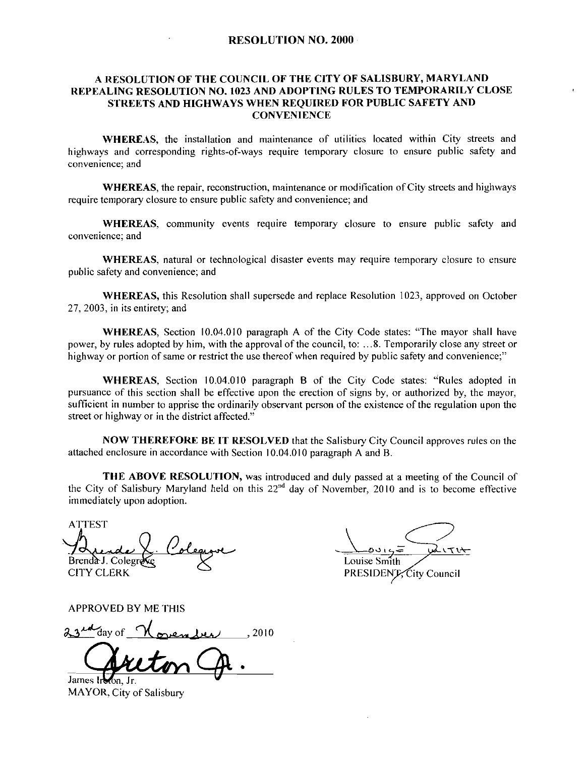## RESOLUTION NO. 2000

## A RESOLUTION OF THE COUNCIL OF THE CITY OF SALISBURY MARYLAND REPEALING RESOLUTION NO. 1023 AND ADOPTING RULES TO TEMPORARILY CLOSE STREETS AND HIGHWAYS WHEN REQUIRED FOR PUBLIC SAFETY AND **CONVENIENCE**

WHEREAS, the installation and maintenance of utilities located within City streets and highways and corresponding rights-of-ways require temporary closure to ensure public safety and convenience; and

WHEREAS, the repair, reconstruction, maintenance or modification of City streets and highways require temporary closure to ensure public safety and convenience; and

WHEREAS, community events require temporary closure to ensure public safety and convenience; and

WHEREAS, natural or technological disaster events may require temporary closure to ensure public safety and convenience; and

WHEREAS, this Resolution shall supersede and replace Resolution 1023, approved on October 27, 2003, in its entirety; and

WHEREAS, Section 10.04.010 paragraph A of the City Code states: "The mayor shall have power, by rules adopted by him, with the approval of the council, to:  $\dots 8$ . Temporarily close any street or highway or portion of same or restrict the use thereof when required by public safety and convenience;"

WHEREAS, Section 10.04.010 paragraph B of the City Code states: "Rules adopted in pursuance of this section shall be effective upon the erection of signs by, or authorized by, the mayor, sufficient in number to apprise the ordinarily observant person of the existence of the regulation upon the street or highway or in the district affected."

NOW THEREFORE BE IT RESOLVED that the Salisbury City Council approves rules on the attached enclosure in accordance with Section  $10.04.010$  paragraph A and B.

THE ABOVE RESOLUTION, was introduced and duly passed at a meeting of the Council of the City of Salisbury Maryland held on this  $22<sup>nd</sup>$  day of November, 2010 and is to become effective immediately upon adoption

ATTEST Brenda J. Colegr CITY CLERK THE ABOVE RESOLUTION, was in<br>the City of Salisbury Maryland held on this 2<br>immediately upon adoption.<br>ATTEST<br>ATTEST<br>ATTEST<br>Brenda J. Colegrade<br>CITY CLERK<br>APPROVED BY ME THIS<br>23<sup>14</sup>day of <u>November</u>, 2010<br>James Ireon, Jr.

 $\underbrace{\phantom{aaaaa}}_{\text{Louises Smith}}\overbrace{\phantom{aaaaa}}_{\text{Louises Smith}}$ Louise Smith PRESIDENT City Council

APPROVED BY ME THIS

James Iroton, Jr.

MAYOR, City of Salisbury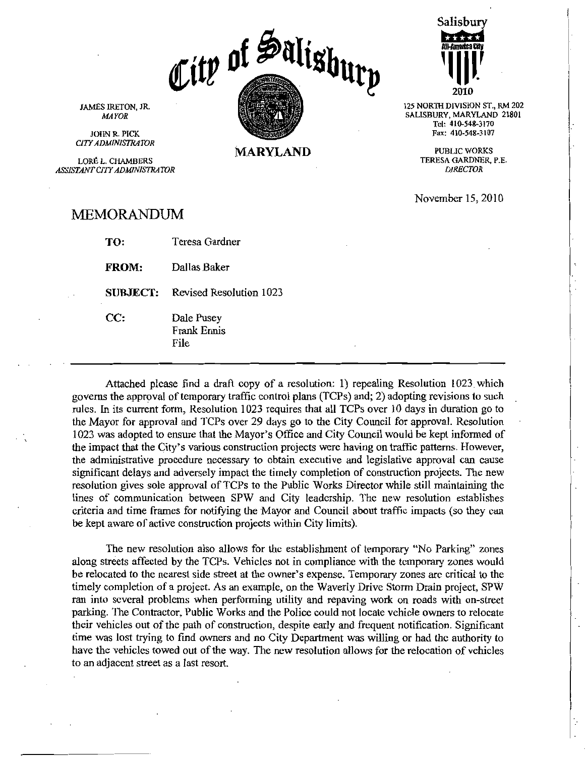City of Salightry

Salisbury **Wilhelm Card Idly**<br>II-America Cay<br>III II III II  $\begin{bmatrix}\n1 & 1 & 1 \\
1 & 1 & 1 \\
1 & 1 & 1 \\
1 & 1 & 1\n\end{bmatrix}$ 2010

125 NORTH DIVISION ST., RM 202 SALISBURY, MARYLAND 21801<br>
Tel: 410-548-3170<br>
Fax: 410-548-3107 Tel: 410-548-3170<br>Fax: 410-548-3107

> PUBLIC WORKS TERESA GARDNER, P.E. DIRECTOR

November 15 2010

JAMES IRETON, JR. **MAYOR** 

JOHN R. PICK **CITY ADMINISTRATOR** 

LORÉ L. CHAMBERS ASSISTANT CITY ADMINISTRATOR

MEMORANDUM

| TO:             | Teresa Gardner                    |
|-----------------|-----------------------------------|
| <b>FROM:</b>    | Dallas Baker                      |
| <b>SUBJECT:</b> | Revised Resolution 1023           |
| CC:             | Dale Pusey<br>Frank Ennis<br>File |

Attached please find a draft copy of a resolution: 1) repealing Resolution 1023 which Attached please find a dialt copy of a resolution. The repeating Resolution 1025 which governs the approval of temporary traffic control plans (TCPs) and; 2) adopting revisions to such rules. In its current form, Resolutio rules. In its current form, Resolution 1023 requires that all TCPs over 10 days in duration go to the Mayor for approval and TCPs over 29 days go to the City Council for approval. Resolution 1023 was adopted to ensure that the Mayor's Office and City Council would be kept informed of the impact that the City's various the administrative procedure necessary to obtain executive and legislative approval can cause significant delays and adversely impact the timely completion of construction projects. The new resolution gives sole approval of TCPs to the Public Works Director while still maintaining the<br>lines of communication between SPW and City leadership. The new resolution establishes criteria and time frames for notifying the Mayor and Council about traffic impacts (so they can

be kept aware of active construction projects within City limits).<br>The new resolution also allows for the establishment of along streets affected by the TCPs. Vehicles not in compliance be relocated to the nearest side str The new resolution also allows for the establishment of temporary "No Parking" zones along streets affected by the TCPs Vehicles not in compliance with the temporary zones would be relocated to the nearest side street at the owner's expense. Temporary zones are critical to the timely completion of a project. As an example, on the Waverly Drive Storm Drain project, SPW ran into several problems when performing utility and repaving work on roads with on-street parking. The Contractor, Public Works and the Police could not locate vehicle owners to relocate parking. their vehicles out of the path of construction, despite early and frequent notification. Significant time was lost trying to find owners and no City Department was willing or had the authority to have the vehicles towed out of the way. The new resolution allows for the relocation of vehicles to an adjacent street as a last resort

**MARYLAND**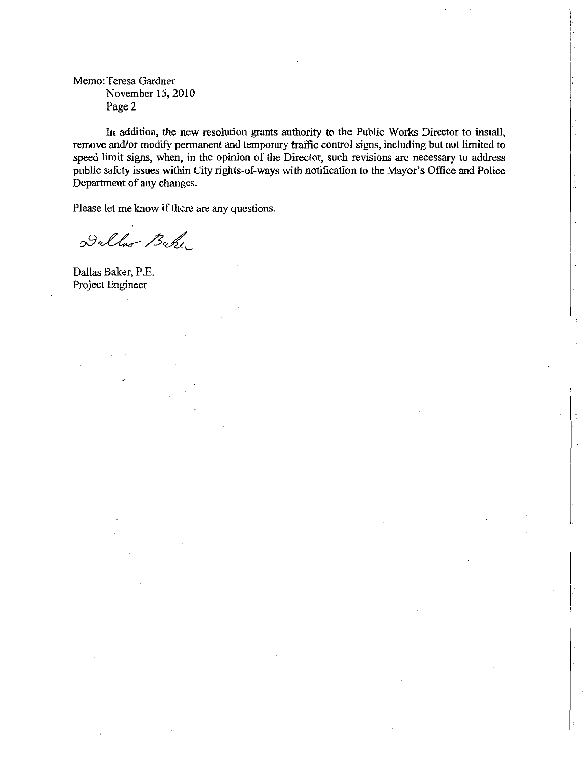Memo: Teresa Gardner November 15, 2010 Page 2

In addition, the new resolution grants authority to the Public Works Director to install, remove and/or modify permanent and temporary traffic control signs, including but not limited to speed limit signs, when, in the opinion of the Director, such revisions are necessary to address public safety issues within City rights-of-ways with notification to the Mayor's Office and Police In addition, the new resolution grants authority to the Public Works Director to install, remove and/or modify permanent and temporary traffic control signs, including but not limited to speed limit signs, when, in the opi Department of any changes

Please let me know if there are any questions.

Dulloo Beke

Dallas Baker, P.E. Project Engineer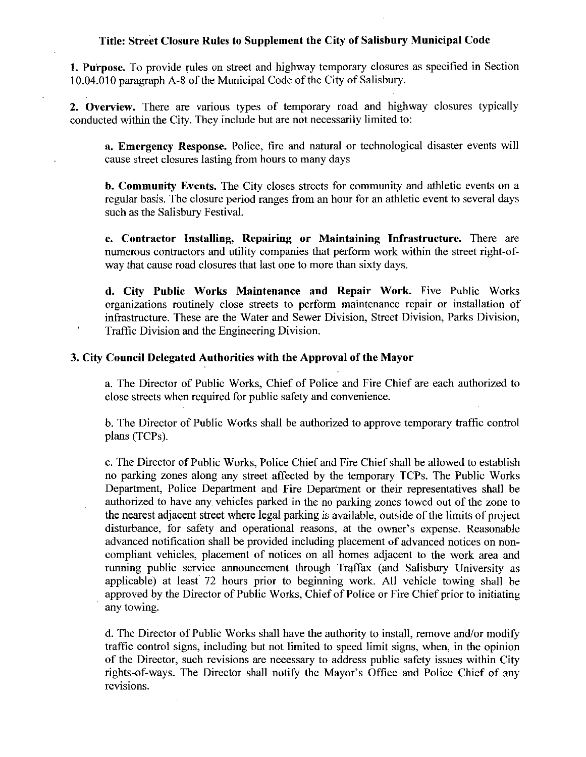## Title: Street Closure Rules to Supplement the City of Salisbury Municipal Code

1. Purpose. To provide rules on street and highway temporary closures as specified in Section 1. Purpose. To provide rules on street and highway temporary closure 10.04.010 paragraph A-8 of the Municipal Code of the City of Salisbury.

2. Overview. There are various types of temporary road and highway closures typically conducted within the City. They include but are not necessarily limited to:

a. Emergency Response. Police, fire and natural or technological disaster events will cause street closures lasting from hours to many days

**b. Community Events.** The City closes streets for community and athletic events on a regular basis The closure period ranges from an hour for an athletic event to several days such as the Salisbury Festival

c. Contractor Installing, Repairing or Maintaining Infrastructure. There are **c. Contractor Installing, Repairing or Maintaining Infrastructure.** There are numerous contractors and utility companies that perform work within the street right-ofway that cause road closures that last one to more than sixty days.

d. City Public Works Maintenance and Repair Work. Five Public Works organizations routinely close streets to perform maintenance repair or installation of infrastructure. These are the Water and Sewer Division, Street Division, Parks Division, Traffic Division and the Engineering Division

## 3 City Council Delegated Authorities with the Approval of the Mayor

a. The Director of Public Works, Chief of Police and Fire Chief are each authorized to close streets when required for public safety and convenience

b The Director of Public Works shall be authorized to approve temporary traffic control plans (TCPs).

c. The Director of Public Works, Police Chief and Fire Chief shall be allowed to establish no parking zones along any street affected by the temporary TCPs The Public Works Department, Police Department and Fire Department or their representatives shall be authorized to have any vehicles parked in the no parking zones towed out of the zone to the nearest adjacent street where legal parking is available, outside of the limits of project In the anti-<br>and parking zones along any street affected by the temporary TCPs. The Public Works<br>Department, Police Department and Fire Department or their representatives shall be<br>authorized to have any vehicles parked in advanced notification shall be provided including placement of advanced notices on non compliant vehicles, placement of notices on all homes adjacent to the work area and running public service announcement through Traffax (and Salisbury University as applicable) at least 72 hours prior to beginning work. All vehicle towing shall be approved by the Director of Public Works, Chief of Police or Fire Chief prior to initiating any towing

d. The Director of Public Works shall have the authority to install, remove and/or modify traffic control signs, including but not limited to speed limit signs, when, in the opinion of the Director, such revisions are necessary to address public safety issues within City rights-of-ways. The Director shall notify the Mayor's Office and Police Chief of any d. The Director of Public Works shall have the authority to install, remove and/or modify traffic control signs, including but not limited to speed limit signs, when, in the opinion of the Director, such revisions are nece revisions